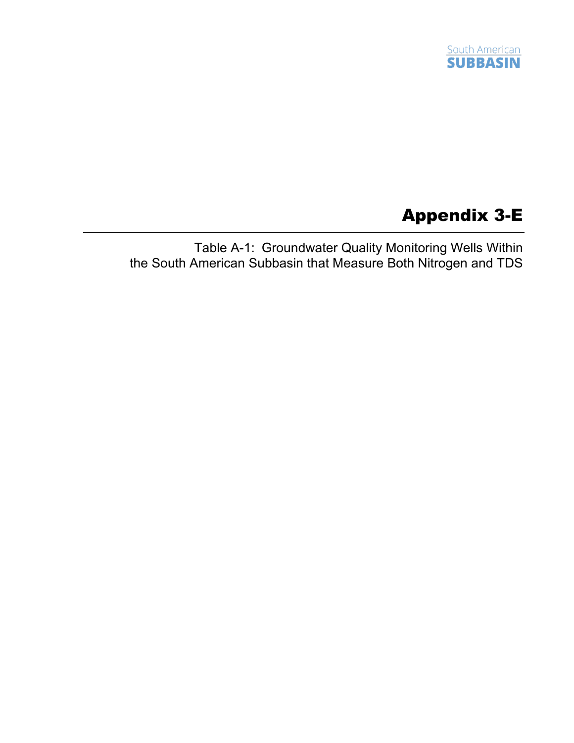

## Appendix 3-E

Table A-1: Groundwater Quality Monitoring Wells Within the South American Subbasin that Measure Both Nitrogen and TDS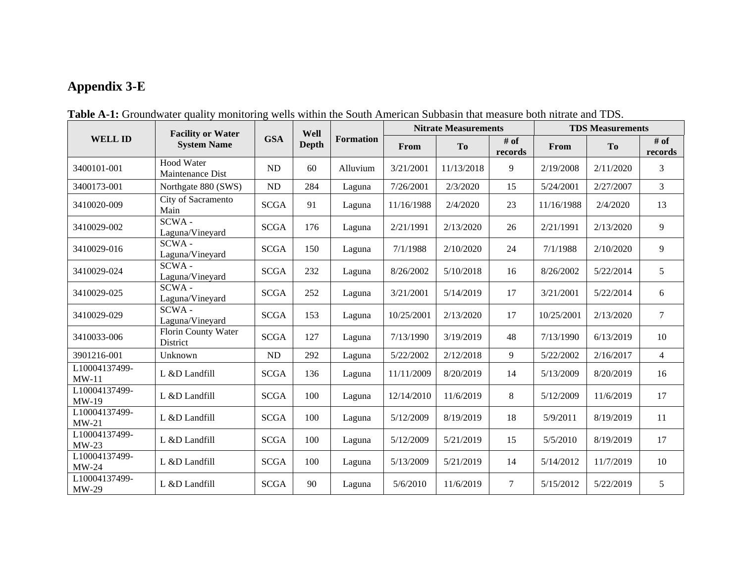## **Appendix 3-E**

|                          | <b>Facility or Water</b><br><b>System Name</b> | <b>GSA</b>  | Well<br><b>Depth</b> | <b>Formation</b> | <b>Nitrate Measurements</b> |            |                   | <b>TDS Measurements</b> |           |                   |
|--------------------------|------------------------------------------------|-------------|----------------------|------------------|-----------------------------|------------|-------------------|-------------------------|-----------|-------------------|
| <b>WELL ID</b>           |                                                |             |                      |                  | From                        | <b>To</b>  | $#$ of<br>records | From                    | To        | $#$ of<br>records |
| 3400101-001              | <b>Hood Water</b><br>Maintenance Dist          | ND          | 60                   | Alluvium         | 3/21/2001                   | 11/13/2018 | 9                 | 2/19/2008               | 2/11/2020 | 3                 |
| 3400173-001              | Northgate 880 (SWS)                            | ${\rm ND}$  | 284                  | Laguna           | 7/26/2001                   | 2/3/2020   | 15                | 5/24/2001               | 2/27/2007 | $\mathfrak{Z}$    |
| 3410020-009              | City of Sacramento<br>Main                     | <b>SCGA</b> | 91                   | Laguna           | 11/16/1988                  | 2/4/2020   | 23                | 11/16/1988              | 2/4/2020  | 13                |
| 3410029-002              | SCWA-<br>Laguna/Vineyard                       | <b>SCGA</b> | 176                  | Laguna           | 2/21/1991                   | 2/13/2020  | 26                | 2/21/1991               | 2/13/2020 | 9                 |
| 3410029-016              | SCWA-<br>Laguna/Vineyard                       | <b>SCGA</b> | 150                  | Laguna           | 7/1/1988                    | 2/10/2020  | 24                | 7/1/1988                | 2/10/2020 | 9                 |
| 3410029-024              | SCWA-<br>Laguna/Vineyard                       | <b>SCGA</b> | 232                  | Laguna           | 8/26/2002                   | 5/10/2018  | 16                | 8/26/2002               | 5/22/2014 | 5                 |
| 3410029-025              | SCWA-<br>Laguna/Vineyard                       | <b>SCGA</b> | 252                  | Laguna           | 3/21/2001                   | 5/14/2019  | 17                | 3/21/2001               | 5/22/2014 | 6                 |
| 3410029-029              | SCWA-<br>Laguna/Vineyard                       | <b>SCGA</b> | 153                  | Laguna           | 10/25/2001                  | 2/13/2020  | 17                | 10/25/2001              | 2/13/2020 | $\tau$            |
| 3410033-006              | Florin County Water<br>District                | <b>SCGA</b> | 127                  | Laguna           | 7/13/1990                   | 3/19/2019  | 48                | 7/13/1990               | 6/13/2019 | 10                |
| 3901216-001              | Unknown                                        | ND          | 292                  | Laguna           | 5/22/2002                   | 2/12/2018  | 9                 | 5/22/2002               | 2/16/2017 | $\overline{4}$    |
| L10004137499-<br>$MW-11$ | L &D Landfill                                  | <b>SCGA</b> | 136                  | Laguna           | 11/11/2009                  | 8/20/2019  | 14                | 5/13/2009               | 8/20/2019 | 16                |
| L10004137499-<br>$MW-19$ | L &D Landfill                                  | <b>SCGA</b> | 100                  | Laguna           | 12/14/2010                  | 11/6/2019  | 8                 | 5/12/2009               | 11/6/2019 | 17                |
| L10004137499-<br>$MW-21$ | L &D Landfill                                  | <b>SCGA</b> | 100                  | Laguna           | 5/12/2009                   | 8/19/2019  | 18                | 5/9/2011                | 8/19/2019 | 11                |
| L10004137499-<br>$MW-23$ | L &D Landfill                                  | <b>SCGA</b> | 100                  | Laguna           | 5/12/2009                   | 5/21/2019  | 15                | 5/5/2010                | 8/19/2019 | 17                |
| L10004137499-<br>$MW-24$ | L &D Landfill                                  | <b>SCGA</b> | 100                  | Laguna           | 5/13/2009                   | 5/21/2019  | 14                | 5/14/2012               | 11/7/2019 | 10                |
| L10004137499-<br>MW-29   | L &D Landfill                                  | <b>SCGA</b> | 90                   | Laguna           | 5/6/2010                    | 11/6/2019  | $\tau$            | 5/15/2012               | 5/22/2019 | 5 <sup>5</sup>    |

**Table A-1:** Groundwater quality monitoring wells within the South American Subbasin that measure both nitrate and TDS.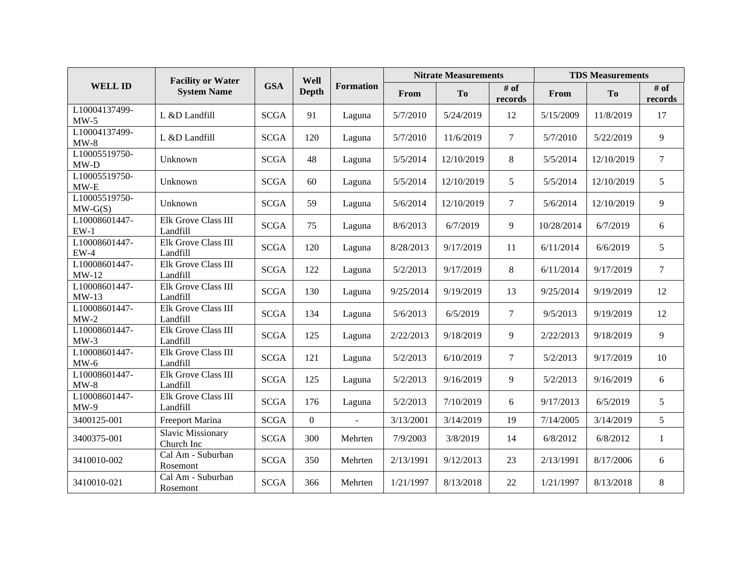|                            | <b>Facility or Water</b><br><b>System Name</b> | <b>GSA</b>  | Well<br>Depth | <b>Formation</b> | <b>Nitrate Measurements</b> |            |                   | <b>TDS Measurements</b> |                |                 |
|----------------------------|------------------------------------------------|-------------|---------------|------------------|-----------------------------|------------|-------------------|-------------------------|----------------|-----------------|
| <b>WELL ID</b>             |                                                |             |               |                  | From                        | <b>To</b>  | $#$ of<br>records | From                    | T <sub>o</sub> | # of<br>records |
| L10004137499-<br>$MW-5$    | L &D Landfill                                  | <b>SCGA</b> | 91            | Laguna           | 5/7/2010                    | 5/24/2019  | 12                | 5/15/2009               | 11/8/2019      | 17              |
| L10004137499-<br>$MW-8$    | L &D Landfill                                  | <b>SCGA</b> | 120           | Laguna           | 5/7/2010                    | 11/6/2019  | $\tau$            | 5/7/2010                | 5/22/2019      | 9               |
| L10005519750-<br>$MW-D$    | Unknown                                        | <b>SCGA</b> | 48            | Laguna           | 5/5/2014                    | 12/10/2019 | 8                 | 5/5/2014                | 12/10/2019     | $\tau$          |
| L10005519750-<br>$MW-E$    | Unknown                                        | <b>SCGA</b> | 60            | Laguna           | 5/5/2014                    | 12/10/2019 | 5                 | 5/5/2014                | 12/10/2019     | 5               |
| L10005519750-<br>$MW-G(S)$ | Unknown                                        | <b>SCGA</b> | 59            | Laguna           | 5/6/2014                    | 12/10/2019 | $\tau$            | 5/6/2014                | 12/10/2019     | 9               |
| L10008601447-<br>$EW-1$    | Elk Grove Class III<br>Landfill                | <b>SCGA</b> | 75            | Laguna           | 8/6/2013                    | 6/7/2019   | 9                 | 10/28/2014              | 6/7/2019       | 6               |
| L10008601447-<br>$EW-4$    | Elk Grove Class III<br>Landfill                | <b>SCGA</b> | 120           | Laguna           | 8/28/2013                   | 9/17/2019  | 11                | 6/11/2014               | 6/6/2019       | 5               |
| L10008601447-<br>$MW-12$   | Elk Grove Class III<br>Landfill                | <b>SCGA</b> | 122           | Laguna           | 5/2/2013                    | 9/17/2019  | 8                 | 6/11/2014               | 9/17/2019      | $\tau$          |
| L10008601447-<br>$MW-13$   | Elk Grove Class III<br>Landfill                | <b>SCGA</b> | 130           | Laguna           | 9/25/2014                   | 9/19/2019  | 13                | 9/25/2014               | 9/19/2019      | 12              |
| L10008601447-<br>$MW-2$    | Elk Grove Class III<br>Landfill                | <b>SCGA</b> | 134           | Laguna           | 5/6/2013                    | 6/5/2019   | $\tau$            | 9/5/2013                | 9/19/2019      | 12              |
| L10008601447-<br>$MW-3$    | Elk Grove Class III<br>Landfill                | <b>SCGA</b> | 125           | Laguna           | 2/22/2013                   | 9/18/2019  | 9                 | 2/22/2013               | 9/18/2019      | 9               |
| L10008601447-<br>$MW-6$    | Elk Grove Class III<br>Landfill                | <b>SCGA</b> | 121           | Laguna           | 5/2/2013                    | 6/10/2019  | $\tau$            | 5/2/2013                | 9/17/2019      | 10              |
| L10008601447-<br>$MW-8$    | Elk Grove Class III<br>Landfill                | <b>SCGA</b> | 125           | Laguna           | 5/2/2013                    | 9/16/2019  | 9                 | 5/2/2013                | 9/16/2019      | 6               |
| L10008601447-<br>$MW-9$    | Elk Grove Class III<br>Landfill                | <b>SCGA</b> | 176           | Laguna           | 5/2/2013                    | 7/10/2019  | 6                 | 9/17/2013               | 6/5/2019       | 5               |
| 3400125-001                | Freeport Marina                                | <b>SCGA</b> | $\Omega$      | $\mathbf{r}$     | 3/13/2001                   | 3/14/2019  | 19                | 7/14/2005               | 3/14/2019      | 5               |
| 3400375-001                | <b>Slavic Missionary</b><br>Church Inc         | <b>SCGA</b> | 300           | Mehrten          | 7/9/2003                    | 3/8/2019   | 14                | 6/8/2012                | 6/8/2012       | $\mathbf{1}$    |
| 3410010-002                | Cal Am - Suburban<br>Rosemont                  | <b>SCGA</b> | 350           | Mehrten          | 2/13/1991                   | 9/12/2013  | 23                | 2/13/1991               | 8/17/2006      | 6               |
| 3410010-021                | Cal Am - Suburban<br>Rosemont                  | <b>SCGA</b> | 366           | Mehrten          | 1/21/1997                   | 8/13/2018  | 22                | 1/21/1997               | 8/13/2018      | 8               |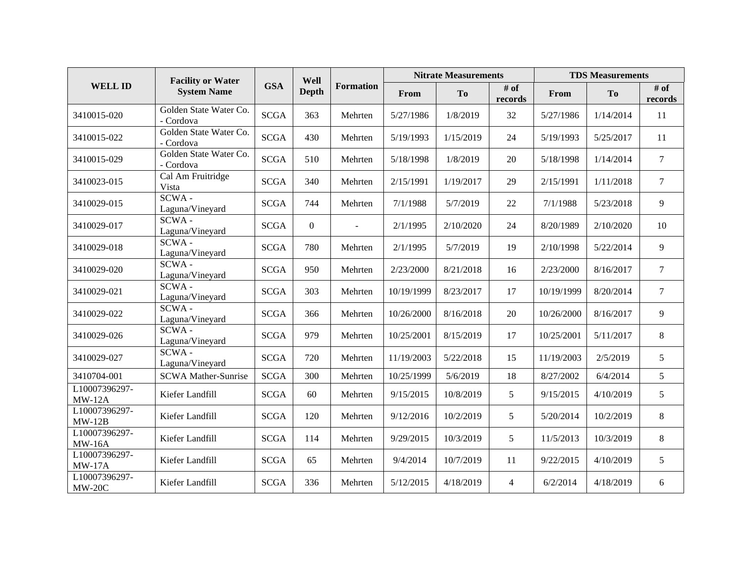|                                | <b>Facility or Water</b><br><b>System Name</b> | <b>GSA</b>  | Well<br><b>Depth</b> | <b>Formation</b> | <b>Nitrate Measurements</b> |           |                 | <b>TDS Measurements</b> |                |                 |
|--------------------------------|------------------------------------------------|-------------|----------------------|------------------|-----------------------------|-----------|-----------------|-------------------------|----------------|-----------------|
| <b>WELL ID</b>                 |                                                |             |                      |                  | From                        | <b>To</b> | # of<br>records | From                    | T <sub>o</sub> | # of<br>records |
| 3410015-020                    | Golden State Water Co.<br>- Cordova            | <b>SCGA</b> | 363                  | Mehrten          | 5/27/1986                   | 1/8/2019  | 32              | 5/27/1986               | 1/14/2014      | 11              |
| 3410015-022                    | Golden State Water Co.<br>- Cordova            | <b>SCGA</b> | 430                  | Mehrten          | 5/19/1993                   | 1/15/2019 | 24              | 5/19/1993               | 5/25/2017      | 11              |
| 3410015-029                    | Golden State Water Co.<br>- Cordova            | <b>SCGA</b> | 510                  | Mehrten          | 5/18/1998                   | 1/8/2019  | 20              | 5/18/1998               | 1/14/2014      | $\overline{7}$  |
| 3410023-015                    | Cal Am Fruitridge<br>Vista                     | <b>SCGA</b> | 340                  | Mehrten          | 2/15/1991                   | 1/19/2017 | 29              | 2/15/1991               | 1/11/2018      | $\tau$          |
| 3410029-015                    | SCWA-<br>Laguna/Vineyard                       | <b>SCGA</b> | 744                  | Mehrten          | 7/1/1988                    | 5/7/2019  | 22              | 7/1/1988                | 5/23/2018      | 9               |
| 3410029-017                    | SCWA-<br>Laguna/Vineyard                       | <b>SCGA</b> | $\overline{0}$       | $\mathbf{r}$     | 2/1/1995                    | 2/10/2020 | 24              | 8/20/1989               | 2/10/2020      | 10              |
| 3410029-018                    | SCWA-<br>Laguna/Vineyard                       | <b>SCGA</b> | 780                  | Mehrten          | 2/1/1995                    | 5/7/2019  | 19              | 2/10/1998               | 5/22/2014      | 9               |
| 3410029-020                    | SCWA-<br>Laguna/Vineyard                       | <b>SCGA</b> | 950                  | Mehrten          | 2/23/2000                   | 8/21/2018 | 16              | 2/23/2000               | 8/16/2017      | $\tau$          |
| 3410029-021                    | SCWA-<br>Laguna/Vineyard                       | <b>SCGA</b> | 303                  | Mehrten          | 10/19/1999                  | 8/23/2017 | 17              | 10/19/1999              | 8/20/2014      | $\overline{7}$  |
| 3410029-022                    | SCWA-<br>Laguna/Vineyard                       | <b>SCGA</b> | 366                  | Mehrten          | 10/26/2000                  | 8/16/2018 | 20              | 10/26/2000              | 8/16/2017      | 9               |
| 3410029-026                    | SCWA-<br>Laguna/Vineyard                       | <b>SCGA</b> | 979                  | Mehrten          | 10/25/2001                  | 8/15/2019 | 17              | 10/25/2001              | 5/11/2017      | 8               |
| 3410029-027                    | SCWA-<br>Laguna/Vineyard                       | <b>SCGA</b> | 720                  | Mehrten          | 11/19/2003                  | 5/22/2018 | 15              | 11/19/2003              | 2/5/2019       | 5 <sup>5</sup>  |
| 3410704-001                    | <b>SCWA Mather-Sunrise</b>                     | <b>SCGA</b> | 300                  | Mehrten          | 10/25/1999                  | 5/6/2019  | 18              | 8/27/2002               | 6/4/2014       | 5               |
| L10007396297-<br>$MW-12A$      | Kiefer Landfill                                | <b>SCGA</b> | 60                   | Mehrten          | 9/15/2015                   | 10/8/2019 | 5               | 9/15/2015               | 4/10/2019      | 5               |
| L10007396297-<br>$MW-12B$      | Kiefer Landfill                                | <b>SCGA</b> | 120                  | Mehrten          | 9/12/2016                   | 10/2/2019 | 5               | 5/20/2014               | 10/2/2019      | 8               |
| L10007396297-<br><b>MW-16A</b> | Kiefer Landfill                                | <b>SCGA</b> | 114                  | Mehrten          | 9/29/2015                   | 10/3/2019 | 5               | 11/5/2013               | 10/3/2019      | 8               |
| L10007396297-<br>$MW-17A$      | Kiefer Landfill                                | <b>SCGA</b> | 65                   | Mehrten          | 9/4/2014                    | 10/7/2019 | 11              | 9/22/2015               | 4/10/2019      | 5               |
| L10007396297-<br>$MW-20C$      | Kiefer Landfill                                | <b>SCGA</b> | 336                  | Mehrten          | 5/12/2015                   | 4/18/2019 | $\overline{4}$  | 6/2/2014                | 4/18/2019      | 6               |